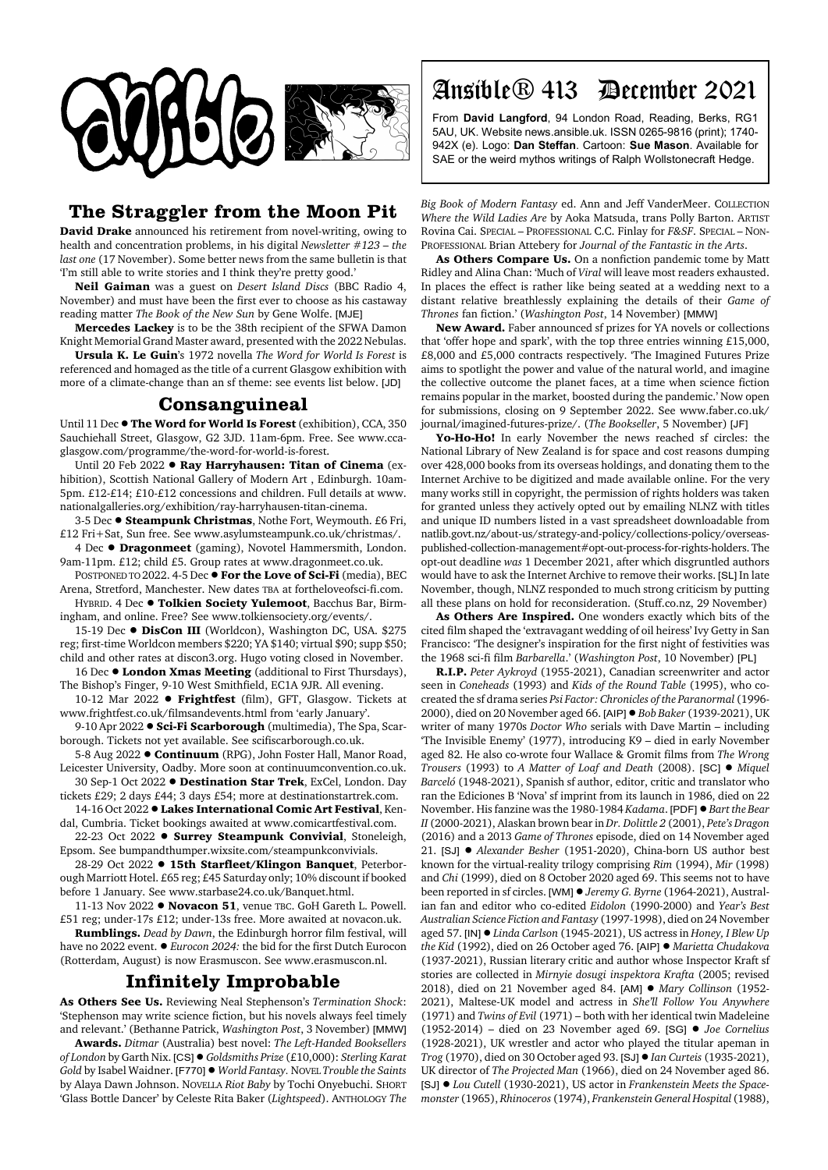

## **The Straggler from the Moon Pit**

**David Drake** announced his retirement from novel-writing, owing to health and concentration problems, in his digital *Newsletter #123 – the last one* (17 November). Some better news from the same bulletin is that 'I'm still able to write stories and I think they're pretty good.'

**Neil Gaiman** was a guest on *Desert Island Discs* (BBC Radio 4, November) and must have been the first ever to choose as his castaway reading matter *The Book of the New Sun* by Gene Wolfe. [MJE]

**Mercedes Lackey** is to be the 38th recipient of the SFWA Damon Knight Memorial Grand Master award, presented with the 2022 Nebulas.

**Ursula K. Le Guin**'s 1972 novella *The Word for World Is Forest* is referenced and homaged as the title of a current Glasgow exhibition with more of a climate-change than an sf theme: see events list below. [JD]

## **Consanguineal**

Until 11 Dec  $\bullet$  The Word for World Is Forest (exhibition), CCA, 350 Sauchiehall Street, Glasgow, G2 3JD. 11am-6pm. Free. See www.ccaglasgow.com/programme/the-word-for-world-is-forest.

Until 20 Feb 2022 **· Ray Harryhausen: Titan of Cinema** (exhibition), Scottish National Gallery of Modern Art , Edinburgh. 10am-5pm. £12-£14; £10-£12 concessions and children. Full details at www. nationalgalleries.org/exhibition/ray-harryhausen-titan-cinema.

3-5 Dec ! **Steampunk Christmas**, Nothe Fort, Weymouth. £6 Fri, £12 Fri+Sat, Sun free. See www.asylumsteampunk.co.uk/christmas/.

4 Dec  $\bullet$  **Dragonmeet** (gaming), Novotel Hammersmith, London. 9am-11pm. £12; child £5. Group rates at www.dragonmeet.co.uk.

POSTPONED TO 2022. 4-5 Dec  $\bullet$  For the Love of Sci-Fi (media), BEC Arena, Stretford, Manchester. New dates TBA at fortheloveofsci-fi.com.

HYBRID. 4 Dec . Tolkien Society Yulemoot, Bacchus Bar, Birmingham, and online. Free? See www.tolkiensociety.org/events/.

15-19 Dec  $\bullet$  DisCon III (Worldcon), Washington DC, USA. \$275 reg; first-time Worldcon members \$220; YA \$140; virtual \$90; supp \$50; child and other rates at discon3.org. Hugo voting closed in November.

16 Dec  $\bullet$  London Xmas Meeting (additional to First Thursdays), The Bishop's Finger, 9-10 West Smithfield, EC1A 9JR. All evening.

10-12 Mar 2022 ! **Frightfest** (film), GFT, Glasgow. Tickets at www.frightfest.co.uk/filmsandevents.html from 'early January'.

9-10 Apr 2022 **· Sci-Fi Scarborough** (multimedia), The Spa, Scarborough. Tickets not yet available. See scifiscarborough.co.uk.

5-8 Aug 2022 **· Continuum** (RPG), John Foster Hall, Manor Road, Leicester University, Oadby. More soon at continuumconvention.co.uk. 30 Sep-1 Oct 2022 ! **Destination Star Trek**, ExCel, London. Day

tickets £29; 2 days £44; 3 days £54; more at destinationstartrek.com.

14-16 Oct 2022 **. Lakes International Comic Art Festival**, Kendal, Cumbria. Ticket bookings awaited at www.comicartfestival.com.

22-23 Oct 2022 **· Surrey Steampunk Convivial**, Stoneleigh, Epsom. See bumpandthumper.wixsite.com/steampunkconvivials.

28-29 Oct 2022 ! **15th Starfleet/Klingon Banquet**, Peterborough Marriott Hotel. £65 reg; £45 Saturday only; 10% discount if booked before 1 January. See www.starbase24.co.uk/Banquet.html.

11-13 Nov 2022 ! **Novacon 51**, venue TBC. GoH Gareth L. Powell. £51 reg; under-17s £12; under-13s free. More awaited at novacon.uk.

**Rumblings.** *Dead by Dawn*, the Edinburgh horror film festival, will have no 2022 event.  $\bullet$  *Eurocon 2024:* the bid for the first Dutch Eurocon (Rotterdam, August) is now Erasmuscon. See www.erasmuscon.nl.

## **Infinitely Improbable**

**As Others See Us.** Reviewing Neal Stephenson's *Termination Shock*: 'Stephenson may write science fiction, but his novels always feel timely and relevant.' (Bethanne Patrick, *Washington Post*, 3 November) [MMW]

**Awards.** *Ditmar* (Australia) best novel: *The Left-Handed Booksellers of London* by Garth Nix. [CS]! *Goldsmiths Prize* (£10,000): *Sterling Karat Gold* by Isabel Waidner. [F770] ! *World Fantasy.* NOVEL *Trouble the Saints* by Alaya Dawn Johnson. NOVELLA *Riot Baby* by Tochi Onyebuchi. SHORT 'Glass Bottle Dancer' by Celeste Rita Baker (*Lightspeed*). ANTHOLOGY *The*

## Ansible® 413 December 2021

From **David Langford**, 94 London Road, Reading, Berks, RG1 5AU, UK. Website news.ansible.uk. ISSN 0265-9816 (print); 1740- 942X (e). Logo: **Dan Steffan**. Cartoon: **Sue Mason**. Available for SAE or the weird mythos writings of Ralph Wollstonecraft Hedge.

*Big Book of Modern Fantasy* ed. Ann and Jeff VanderMeer. COLLECTION *Where the Wild Ladies Are* by Aoka Matsuda, trans Polly Barton. ARTIST Rovina Cai. SPECIAL – PROFESSIONAL C.C. Finlay for *F&SF*. SPECIAL – NON-PROFESSIONAL Brian Attebery for *Journal of the Fantastic in the Arts*.

**As Others Compare Us.** On a nonfiction pandemic tome by Matt Ridley and Alina Chan: 'Much of *Viral* will leave most readers exhausted. In places the effect is rather like being seated at a wedding next to a distant relative breathlessly explaining the details of their *Game of Thrones* fan fiction.' (*Washington Post*, 14 November) [MMW]

**New Award.** Faber announced sf prizes for YA novels or collections that 'offer hope and spark', with the top three entries winning £15,000, £8,000 and £5,000 contracts respectively. 'The Imagined Futures Prize aims to spotlight the power and value of the natural world, and imagine the collective outcome the planet faces, at a time when science fiction remains popular in the market, boosted during the pandemic.' Now open for submissions, closing on 9 September 2022. See www.faber.co.uk/ journal/imagined-futures-prize/. (*The Bookseller*, 5 November) [JF]

**Yo-Ho-Ho!** In early November the news reached sf circles: the National Library of New Zealand is for space and cost reasons dumping over 428,000 books from its overseas holdings, and donating them to the Internet Archive to be digitized and made available online. For the very many works still in copyright, the permission of rights holders was taken for granted unless they actively opted out by emailing NLNZ with titles and unique ID numbers listed in a vast spreadsheet downloadable from natlib.govt.nz/about-us/strategy-and-policy/collections-policy/overseaspublished-collection-management#opt-out-process-for-rights-holders. The opt-out deadline *was* 1 December 2021, after which disgruntled authors would have to ask the Internet Archive to remove their works. [SL] In late November, though, NLNZ responded to much strong criticism by putting all these plans on hold for reconsideration. (Stuff.co.nz, 29 November)

**As Others Are Inspired.** One wonders exactly which bits of the cited film shaped the 'extravagant wedding of oil heiress' Ivy Getty in San Francisco: 'The designer's inspiration for the first night of festivities was the 1968 sci-fi film *Barbarella*.' (*Washington Post*, 10 November) [PL]

**R.I.P.** *Peter Aykroyd* (1955-2021), Canadian screenwriter and actor seen in *Coneheads* (1993) and *Kids of the Round Table* (1995), who cocreated the sf drama series *Psi Factor: Chronicles of the Paranormal* (1996- 2000), died on 20 November aged 66. [AIP]! *Bob Baker* (1939-2021), UK writer of many 1970s *Doctor Who* serials with Dave Martin – including 'The Invisible Enemy' (1977), introducing K9 – died in early November aged 82. He also co-wrote four Wallace & Gromit films from *The Wrong Trousers* (1993) to *A Matter of Loaf and Death* (2008). [SC] ! *Miquel Barceló* (1948-2021), Spanish sf author, editor, critic and translator who ran the Ediciones B 'Nova' sf imprint from its launch in 1986, died on 22 November. His fanzine was the 1980-1984 *Kadama*. [PDF]!*Bart the Bear II* (2000-2021), Alaskan brown bear in *Dr. Dolittle 2* (2001), *Pete's Dragon* (2016) and a 2013 *Game of Thrones* episode, died on 14 November aged 21. [SJ] ! *Alexander Besher* (1951-2020), China-born US author best known for the virtual-reality trilogy comprising *Rim* (1994), *Mir* (1998) and *Chi* (1999), died on 8 October 2020 aged 69. This seems not to have been reported in sf circles. [WM] ! *Jeremy G. Byrne* (1964-2021), Australian fan and editor who co-edited *Eidolon* (1990-2000) and *Year's Best Australian Science Fiction and Fantasy* (1997-1998), died on 24 November aged 57. [IN] ! *Linda Carlson* (1945-2021), US actress in *Honey, I Blew Up the Kid* (1992), died on 26 October aged 76. [AIP] ! *Marietta Chudakova* (1937-2021), Russian literary critic and author whose Inspector Kraft sf stories are collected in *Mirnyie dosugi inspektora Krafta* (2005; revised 2018), died on 21 November aged 84. [AM] ! *Mary Collinson* (1952- 2021), Maltese-UK model and actress in *She'll Follow You Anywhere* (1971) and *Twins of Evil* (1971) – both with her identical twin Madeleine (1952-2014) – died on 23 November aged 69. [SG] ! *Joe Cornelius* (1928-2021), UK wrestler and actor who played the titular apeman in *Trog* (1970), died on 30 October aged 93. [SJ]! *Ian Curteis* (1935-2021), UK director of *The Projected Man* (1966), died on 24 November aged 86. [SJ] ! *Lou Cutell* (1930-2021), US actor in *Frankenstein Meets the Spacemonster* (1965), *Rhinoceros* (1974), *Frankenstein General Hospital* (1988),